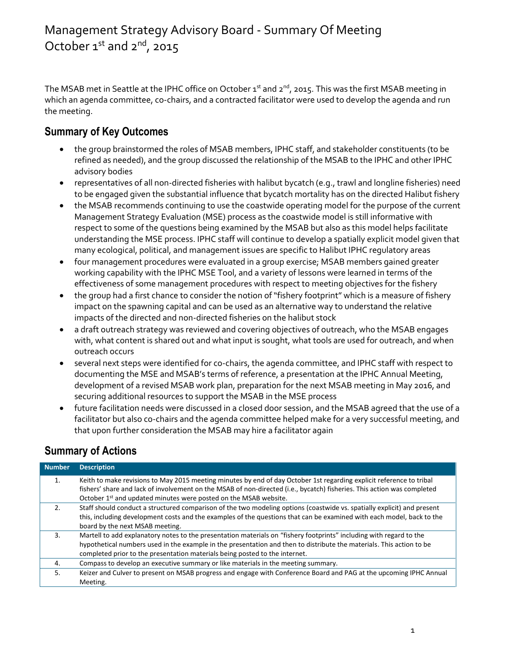The MSAB met in Seattle at the IPHC office on October  $1^{st}$  and  $2^{nd}$ , 2015. This was the first MSAB meeting in which an agenda committee, co-chairs, and a contracted facilitator were used to develop the agenda and run the meeting.

## **Summary of Key Outcomes**

- the group brainstormed the roles of MSAB members, IPHC staff, and stakeholder constituents (to be refined as needed), and the group discussed the relationship of the MSAB to the IPHC and other IPHC advisory bodies
- representatives of all non-directed fisheries with halibut bycatch (e.g., trawl and longline fisheries) need to be engaged given the substantial influence that bycatch mortality has on the directed Halibut fishery
- the MSAB recommends continuing to use the coastwide operating model for the purpose of the current Management Strategy Evaluation (MSE) process as the coastwide model is still informative with respect to some of the questions being examined by the MSAB but also as this model helps facilitate understanding the MSE process. IPHC staff will continue to develop a spatially explicit model given that many ecological, political, and management issues are specific to Halibut IPHC regulatory areas
- four management procedures were evaluated in a group exercise; MSAB members gained greater working capability with the IPHC MSE Tool, and a variety of lessons were learned in terms of the effectiveness of some management procedures with respect to meeting objectives for the fishery
- the group had a first chance to consider the notion of "fishery footprint" which is a measure of fishery impact on the spawning capital and can be used as an alternative way to understand the relative impacts of the directed and non-directed fisheries on the halibut stock
- a draft outreach strategy was reviewed and covering objectives of outreach, who the MSAB engages with, what content is shared out and what input is sought, what tools are used for outreach, and when outreach occurs
- several next steps were identified for co-chairs, the agenda committee, and IPHC staff with respect to documenting the MSE and MSAB's terms of reference, a presentation at the IPHC Annual Meeting, development of a revised MSAB work plan, preparation for the next MSAB meeting in May 2016, and securing additional resources to support the MSAB in the MSE process
- future facilitation needs were discussed in a closed door session, and the MSAB agreed that the use of a facilitator but also co-chairs and the agenda committee helped make for a very successful meeting, and that upon further consideration the MSAB may hire a facilitator again

## **Summary of Actions**

| <b>Number</b> | <b>Description</b>                                                                                                      |
|---------------|-------------------------------------------------------------------------------------------------------------------------|
| 1.            | Keith to make revisions to May 2015 meeting minutes by end of day October 1st regarding explicit reference to tribal    |
|               | fishers' share and lack of involvement on the MSAB of non-directed (i.e., bycatch) fisheries. This action was completed |
|               | October 1 <sup>st</sup> and updated minutes were posted on the MSAB website.                                            |
| 2.            | Staff should conduct a structured comparison of the two modeling options (coastwide vs. spatially explicit) and present |
|               | this, including development costs and the examples of the questions that can be examined with each model, back to the   |
|               | board by the next MSAB meeting.                                                                                         |
| 3.            | Martell to add explanatory notes to the presentation materials on "fishery footprints" including with regard to the     |
|               | hypothetical numbers used in the example in the presentation and then to distribute the materials. This action to be    |
|               | completed prior to the presentation materials being posted to the internet.                                             |
| 4.            | Compass to develop an executive summary or like materials in the meeting summary.                                       |
| 5.            | Keizer and Culver to present on MSAB progress and engage with Conference Board and PAG at the upcoming IPHC Annual      |
|               | Meeting.                                                                                                                |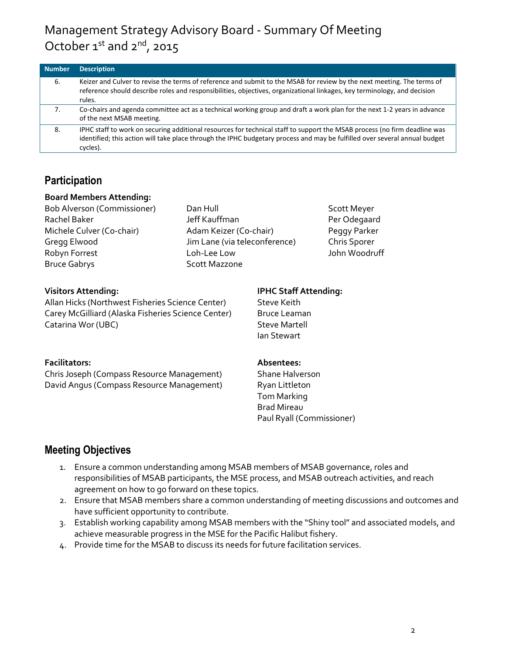| <b>Number</b> | <b>Description</b>                                                                                                                                                                                                                                                  |
|---------------|---------------------------------------------------------------------------------------------------------------------------------------------------------------------------------------------------------------------------------------------------------------------|
| 6.            | Keizer and Culver to revise the terms of reference and submit to the MSAB for review by the next meeting. The terms of<br>reference should describe roles and responsibilities, objectives, organizational linkages, key terminology, and decision<br>rules.        |
| 7.            | Co-chairs and agenda committee act as a technical working group and draft a work plan for the next 1-2 years in advance<br>of the next MSAB meeting.                                                                                                                |
| 8.            | IPHC staff to work on securing additional resources for technical staff to support the MSAB process (no firm deadline was<br>identified; this action will take place through the IPHC budgetary process and may be fulfilled over several annual budget<br>cycles). |

## **Participation**

#### **Board Members Attending:**

Bruce Gabrys Scott Mazzone

Bob Alverson (Commissioner) Dan Hull Scott Meyer Rachel Baker **National Institute Controller Section** Jeff Kauffman **Per Odegaard** Michele Culver (Co-chair) Adam Keizer (Co-chair) Peggy Parker Gregg Elwood Jim Lane (via teleconference) Chris Sporer Robyn Forrest **Loh-Lee Low** Coh-Lee Low John Woodruff

Allan Hicks (Northwest Fisheries Science Center) Steve Keith Carey McGilliard (Alaska Fisheries Science Center) Bruce Leaman Catarina Wor (UBC) Steve Martell

#### **Facilitators: Absentees:**

Chris Joseph (Compass Resource Management) Shane Halverson David Angus (Compass Resource Management) Ryan Littleton

## **Visitors Attending: IPHC Staff Attending:**

Ian Stewart

Tom Marking Brad Mireau Paul Ryall (Commissioner)

## **Meeting Objectives**

- 1. Ensure a common understanding among MSAB members of MSAB governance, roles and responsibilities of MSAB participants, the MSE process, and MSAB outreach activities, and reach agreement on how to go forward on these topics.
- 2. Ensure that MSAB members share a common understanding of meeting discussions and outcomes and have sufficient opportunity to contribute.
- 3. Establish working capability among MSAB members with the "Shiny tool" and associated models, and achieve measurable progress in the MSE for the Pacific Halibut fishery.
- 4. Provide time for the MSAB to discuss its needs for future facilitation services.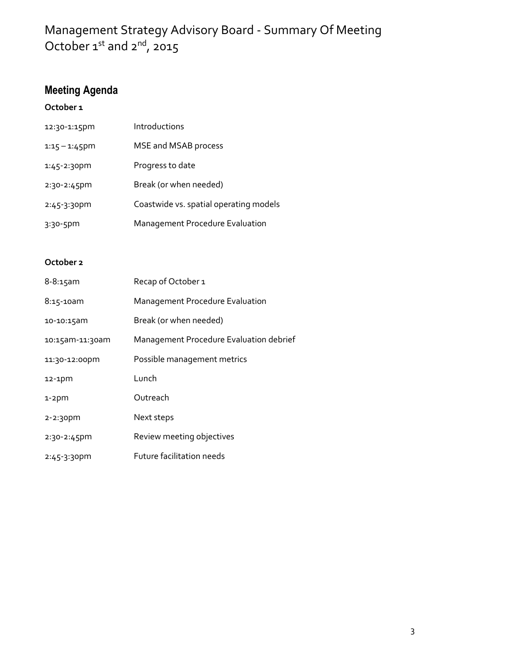## **Meeting Agenda**

## **October 1**

| 12:30-1:15pm     | Introductions                          |
|------------------|----------------------------------------|
| $1:15 - 1:45$ pm | MSE and MSAB process                   |
| $1:45 - 2:30$ pm | Progress to date                       |
| $2:30 - 2:45$ pm | Break (or when needed)                 |
| $2:45-3:30$ pm   | Coastwide vs. spatial operating models |
| $3:30 - 5$ pm    | <b>Management Procedure Evaluation</b> |

## **October 2**

| $8 - 8:15$ am    | Recap of October 1                      |
|------------------|-----------------------------------------|
| $8:15 - 10am$    | <b>Management Procedure Evaluation</b>  |
| 10-10:15am       | Break (or when needed)                  |
| 10:15am-11:30am  | Management Procedure Evaluation debrief |
| 11:30-12:00pm    | Possible management metrics             |
| $12-1$ pm        | Lunch                                   |
| $1-2$ pm         | Outreach                                |
| $2 - 2:30$ pm    | Next steps                              |
| $2:30 - 2:45$ pm | Review meeting objectives               |
| $2:45-3:30$ pm   | Future facilitation needs               |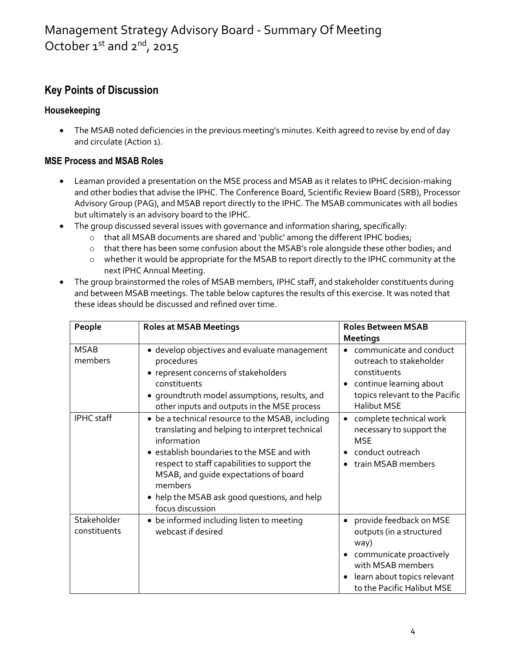## **Key Points of Discussion**

## **Housekeeping**

 The MSAB noted deficiencies in the previous meeting's minutes. Keith agreed to revise by end of day and circulate (Action 1).

## **MSE Process and MSAB Roles**

- Leaman provided a presentation on the MSE process and MSAB as it relates to IPHC decision-making and other bodies that advise the IPHC. The Conference Board, Scientific Review Board (SRB), Processor Advisory Group (PAG), and MSAB report directly to the IPHC. The MSAB communicates with all bodies but ultimately is an advisory board to the IPHC.
- The group discussed several issues with governance and information sharing, specifically:
	- $\circ$  that all MSAB documents are shared and 'public' among the different IPHC bodies;
	- $\circ$  that there has been some confusion about the MSAB's role alongside these other bodies; and
	- o whether it would be appropriate for the MSAB to report directly to the IPHC community at the next IPHC Annual Meeting.
- The group brainstormed the roles of MSAB members, IPHC staff, and stakeholder constituents during and between MSAB meetings. The table below captures the results of this exercise. It was noted that these ideas should be discussed and refined over time.

| People                      | <b>Roles at MSAB Meetings</b>                                                                                                                                                                                                                                                                                                           | <b>Roles Between MSAB</b>                                                                                                                                                                  |
|-----------------------------|-----------------------------------------------------------------------------------------------------------------------------------------------------------------------------------------------------------------------------------------------------------------------------------------------------------------------------------------|--------------------------------------------------------------------------------------------------------------------------------------------------------------------------------------------|
|                             |                                                                                                                                                                                                                                                                                                                                         | <b>Meetings</b>                                                                                                                                                                            |
| <b>MSAB</b><br>members      | · develop objectives and evaluate management<br>procedures<br>• represent concerns of stakeholders<br>constituents<br>• groundtruth model assumptions, results, and<br>other inputs and outputs in the MSE process                                                                                                                      | communicate and conduct<br>outreach to stakeholder<br>constituents<br>continue learning about<br>$\bullet$<br>topics relevant to the Pacific<br><b>Halibut MSE</b>                         |
| IPHC staff                  | • be a technical resource to the MSAB, including<br>translating and helping to interpret technical<br>information<br>• establish boundaries to the MSE and with<br>respect to staff capabilities to support the<br>MSAB, and quide expectations of board<br>members<br>• help the MSAB ask good questions, and help<br>focus discussion | complete technical work<br>$\bullet$<br>necessary to support the<br><b>MSE</b><br>conduct outreach<br>train MSAB members                                                                   |
| Stakeholder<br>constituents | • be informed including listen to meeting<br>webcast if desired                                                                                                                                                                                                                                                                         | provide feedback on MSE<br>$\bullet$<br>outputs (in a structured<br>way)<br>communicate proactively<br>with MSAB members<br>learn about topics relevant<br>٠<br>to the Pacific Halibut MSE |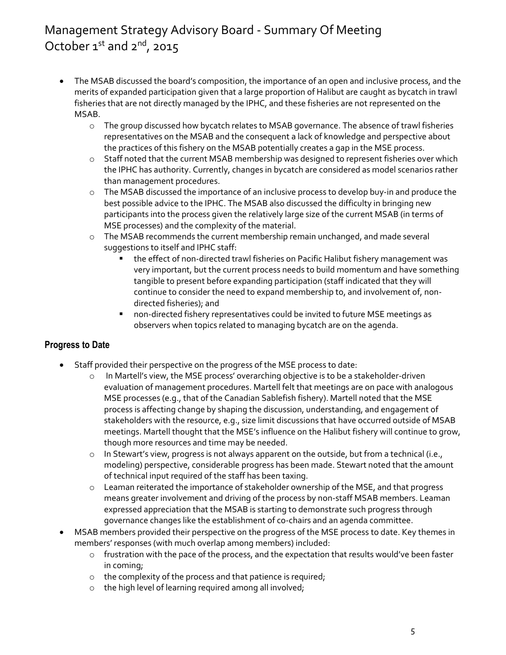- The MSAB discussed the board's composition, the importance of an open and inclusive process, and the merits of expanded participation given that a large proportion of Halibut are caught as bycatch in trawl fisheries that are not directly managed by the IPHC, and these fisheries are not represented on the MSAB.
	- o The group discussed how bycatch relates to MSAB governance. The absence of trawl fisheries representatives on the MSAB and the consequent a lack of knowledge and perspective about the practices of this fishery on the MSAB potentially creates a gap in the MSE process.
	- o Staff noted that the current MSAB membership was designed to represent fisheries over which the IPHC has authority. Currently, changes in bycatch are considered as model scenarios rather than management procedures.
	- o The MSAB discussed the importance of an inclusive process to develop buy-in and produce the best possible advice to the IPHC. The MSAB also discussed the difficulty in bringing new participants into the process given the relatively large size of the current MSAB (in terms of MSE processes) and the complexity of the material.
	- o The MSAB recommends the current membership remain unchanged, and made several suggestions to itself and IPHC staff:
		- the effect of non-directed trawl fisheries on Pacific Halibut fishery management was very important, but the current process needs to build momentum and have something tangible to present before expanding participation (staff indicated that they will continue to consider the need to expand membership to, and involvement of, nondirected fisheries); and
		- non-directed fishery representatives could be invited to future MSE meetings as observers when topics related to managing bycatch are on the agenda.

## **Progress to Date**

- Staff provided their perspective on the progress of the MSE process to date:
	- o In Martell's view, the MSE process' overarching objective is to be a stakeholder-driven evaluation of management procedures. Martell felt that meetings are on pace with analogous MSE processes (e.g., that of the Canadian Sablefish fishery). Martell noted that the MSE process is affecting change by shaping the discussion, understanding, and engagement of stakeholders with the resource, e.g., size limit discussions that have occurred outside of MSAB meetings. Martell thought that the MSE's influence on the Halibut fishery will continue to grow, though more resources and time may be needed.
	- $\circ$  In Stewart's view, progress is not always apparent on the outside, but from a technical (i.e., modeling) perspective, considerable progress has been made. Stewart noted that the amount of technical input required of the staff has been taxing.
	- o Leaman reiterated the importance of stakeholder ownership of the MSE, and that progress means greater involvement and driving of the process by non-staff MSAB members. Leaman expressed appreciation that the MSAB is starting to demonstrate such progress through governance changes like the establishment of co-chairs and an agenda committee.
- MSAB members provided their perspective on the progress of the MSE process to date. Key themes in members' responses (with much overlap among members) included:
	- o frustration with the pace of the process, and the expectation that results would've been faster in coming;
	- o the complexity of the process and that patience is required;
	- o the high level of learning required among all involved;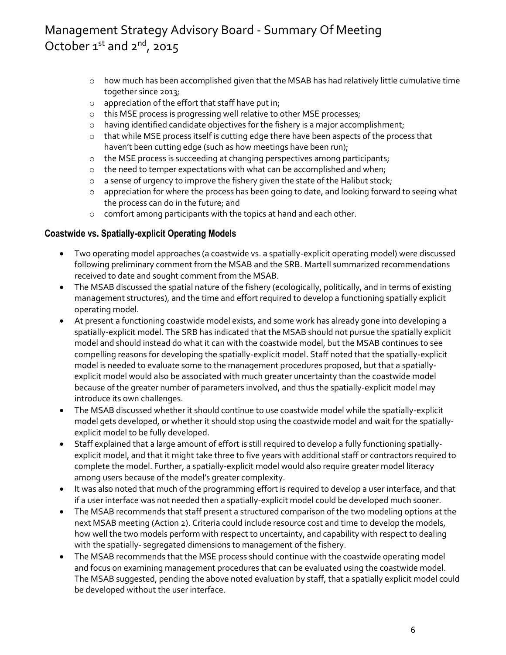- $\circ$  how much has been accomplished given that the MSAB has had relatively little cumulative time together since 2013;
- o appreciation of the effort that staff have put in;
- o this MSE process is progressing well relative to other MSE processes;
- o having identified candidate objectives for the fishery is a major accomplishment;
- o that while MSE process itself is cutting edge there have been aspects of the process that haven't been cutting edge (such as how meetings have been run);
- o the MSE process is succeeding at changing perspectives among participants;
- o the need to temper expectations with what can be accomplished and when;
- o a sense of urgency to improve the fishery given the state of the Halibut stock;
- $\circ$  appreciation for where the process has been going to date, and looking forward to seeing what the process can do in the future; and
- o comfort among participants with the topics at hand and each other.

#### **Coastwide vs. Spatially-explicit Operating Models**

- Two operating model approaches (a coastwide vs. a spatially-explicit operating model) were discussed following preliminary comment from the MSAB and the SRB. Martell summarized recommendations received to date and sought comment from the MSAB.
- The MSAB discussed the spatial nature of the fishery (ecologically, politically, and in terms of existing management structures), and the time and effort required to develop a functioning spatially explicit operating model.
- At present a functioning coastwide model exists, and some work has already gone into developing a spatially-explicit model. The SRB has indicated that the MSAB should not pursue the spatially explicit model and should instead do what it can with the coastwide model, but the MSAB continues to see compelling reasons for developing the spatially-explicit model. Staff noted that the spatially-explicit model is needed to evaluate some to the management procedures proposed, but that a spatiallyexplicit model would also be associated with much greater uncertainty than the coastwide model because of the greater number of parameters involved, and thus the spatially-explicit model may introduce its own challenges.
- The MSAB discussed whether it should continue to use coastwide model while the spatially-explicit model gets developed, or whether it should stop using the coastwide model and wait for the spatiallyexplicit model to be fully developed.
- Staff explained that a large amount of effort is still required to develop a fully functioning spatiallyexplicit model, and that it might take three to five years with additional staff or contractors required to complete the model. Further, a spatially-explicit model would also require greater model literacy among users because of the model's greater complexity.
- It was also noted that much of the programming effort is required to develop a user interface, and that if a user interface was not needed then a spatially-explicit model could be developed much sooner.
- The MSAB recommends that staff present a structured comparison of the two modeling options at the next MSAB meeting (Action 2). Criteria could include resource cost and time to develop the models, how well the two models perform with respect to uncertainty, and capability with respect to dealing with the spatially- segregated dimensions to management of the fishery.
- The MSAB recommends that the MSE process should continue with the coastwide operating model and focus on examining management procedures that can be evaluated using the coastwide model. The MSAB suggested, pending the above noted evaluation by staff, that a spatially explicit model could be developed without the user interface.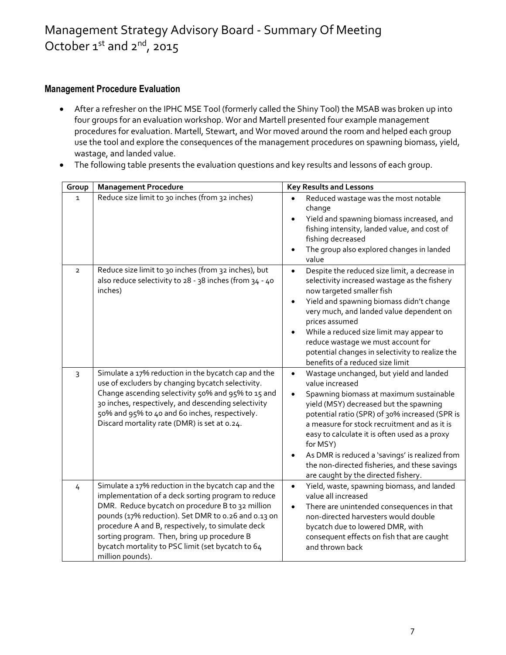#### **Management Procedure Evaluation**

- After a refresher on the IPHC MSE Tool (formerly called the Shiny Tool) the MSAB was broken up into four groups for an evaluation workshop. Wor and Martell presented four example management procedures for evaluation. Martell, Stewart, and Wor moved around the room and helped each group use the tool and explore the consequences of the management procedures on spawning biomass, yield, wastage, and landed value.
- The following table presents the evaluation questions and key results and lessons of each group.

| Group          | <b>Management Procedure</b>                                                                                                                                                                                                                                                                                                                                                                       | <b>Key Results and Lessons</b>                                                                                                                                                                                                                                                                                                                                                                                                                                        |
|----------------|---------------------------------------------------------------------------------------------------------------------------------------------------------------------------------------------------------------------------------------------------------------------------------------------------------------------------------------------------------------------------------------------------|-----------------------------------------------------------------------------------------------------------------------------------------------------------------------------------------------------------------------------------------------------------------------------------------------------------------------------------------------------------------------------------------------------------------------------------------------------------------------|
| $\mathbf{1}$   | Reduce size limit to 30 inches (from 32 inches)                                                                                                                                                                                                                                                                                                                                                   | Reduced wastage was the most notable<br>change<br>Yield and spawning biomass increased, and<br>fishing intensity, landed value, and cost of<br>fishing decreased<br>The group also explored changes in landed<br>$\bullet$<br>value                                                                                                                                                                                                                                   |
| $\overline{2}$ | Reduce size limit to 30 inches (from 32 inches), but<br>also reduce selectivity to 28 - 38 inches (from 34 - 40<br>inches)                                                                                                                                                                                                                                                                        | Despite the reduced size limit, a decrease in<br>$\bullet$<br>selectivity increased wastage as the fishery<br>now targeted smaller fish<br>Yield and spawning biomass didn't change<br>very much, and landed value dependent on<br>prices assumed<br>While a reduced size limit may appear to<br>reduce wastage we must account for<br>potential changes in selectivity to realize the<br>benefits of a reduced size limit                                            |
| $\overline{3}$ | Simulate a 17% reduction in the bycatch cap and the<br>use of excluders by changing bycatch selectivity.<br>Change ascending selectivity 50% and 95% to 15 and<br>30 inches, respectively, and descending selectivity<br>50% and 95% to 40 and 60 inches, respectively.<br>Discard mortality rate (DMR) is set at 0.24.                                                                           | Wastage unchanged, but yield and landed<br>$\bullet$<br>value increased<br>Spawning biomass at maximum sustainable<br>yield (MSY) decreased but the spawning<br>potential ratio (SPR) of 30% increased (SPR is<br>a measure for stock recruitment and as it is<br>easy to calculate it is often used as a proxy<br>for MSY)<br>As DMR is reduced a 'savings' is realized from<br>the non-directed fisheries, and these savings<br>are caught by the directed fishery. |
| 4              | Simulate a 17% reduction in the bycatch cap and the<br>implementation of a deck sorting program to reduce<br>DMR. Reduce bycatch on procedure B to 32 million<br>pounds (17% reduction). Set DMR to 0.26 and 0.13 on<br>procedure A and B, respectively, to simulate deck<br>sorting program. Then, bring up procedure B<br>bycatch mortality to PSC limit (set bycatch to 64<br>million pounds). | Yield, waste, spawning biomass, and landed<br>value all increased<br>There are unintended consequences in that<br>non-directed harvesters would double<br>bycatch due to lowered DMR, with<br>consequent effects on fish that are caught<br>and thrown back                                                                                                                                                                                                           |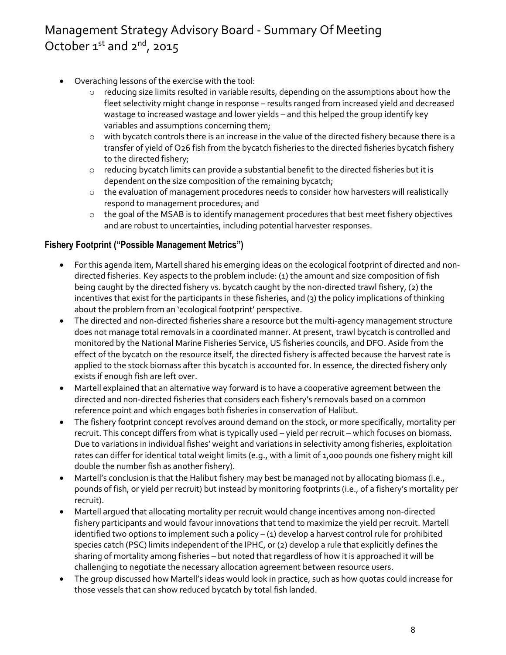- Overaching lessons of the exercise with the tool:
	- o reducing size limits resulted in variable results, depending on the assumptions about how the fleet selectivity might change in response – results ranged from increased yield and decreased wastage to increased wastage and lower yields – and this helped the group identify key variables and assumptions concerning them;
	- o with bycatch controls there is an increase in the value of the directed fishery because there is a transfer of yield of O26 fish from the bycatch fisheries to the directed fisheries bycatch fishery to the directed fishery;
	- $\circ$  reducing bycatch limits can provide a substantial benefit to the directed fisheries but it is dependent on the size composition of the remaining bycatch;
	- o the evaluation of management procedures needs to consider how harvesters will realistically respond to management procedures; and
	- $\circ$  the goal of the MSAB is to identify management procedures that best meet fishery objectives and are robust to uncertainties, including potential harvester responses.

## **Fishery Footprint ("Possible Management Metrics")**

- For this agenda item, Martell shared his emerging ideas on the ecological footprint of directed and nondirected fisheries. Key aspects to the problem include: (1) the amount and size composition of fish being caught by the directed fishery vs. bycatch caught by the non-directed trawl fishery, (2) the incentives that exist for the participants in these fisheries, and (3) the policy implications of thinking about the problem from an 'ecological footprint' perspective.
- The directed and non-directed fisheries share a resource but the multi-agency management structure does not manage total removals in a coordinated manner. At present, trawl bycatch is controlled and monitored by the National Marine Fisheries Service, US fisheries councils, and DFO. Aside from the effect of the bycatch on the resource itself, the directed fishery is affected because the harvest rate is applied to the stock biomass after this bycatch is accounted for. In essence, the directed fishery only exists if enough fish are left over.
- Martell explained that an alternative way forward is to have a cooperative agreement between the directed and non-directed fisheries that considers each fishery's removals based on a common reference point and which engages both fisheries in conservation of Halibut.
- The fishery footprint concept revolves around demand on the stock, or more specifically, mortality per recruit. This concept differs from what is typically used – yield per recruit – which focuses on biomass. Due to variations in individual fishes' weight and variations in selectivity among fisheries, exploitation rates can differ for identical total weight limits (e.g., with a limit of 1,000 pounds one fishery might kill double the number fish as another fishery).
- Martell's conclusion is that the Halibut fishery may best be managed not by allocating biomass (i.e., pounds of fish, or yield per recruit) but instead by monitoring footprints (i.e., of a fishery's mortality per recruit).
- Martell argued that allocating mortality per recruit would change incentives among non-directed fishery participants and would favour innovations that tend to maximize the yield per recruit. Martell identified two options to implement such a policy – (1) develop a harvest control rule for prohibited species catch (PSC) limits independent of the IPHC, or (2) develop a rule that explicitly defines the sharing of mortality among fisheries – but noted that regardless of how it is approached it will be challenging to negotiate the necessary allocation agreement between resource users.
- The group discussed how Martell's ideas would look in practice, such as how quotas could increase for those vessels that can show reduced bycatch by total fish landed.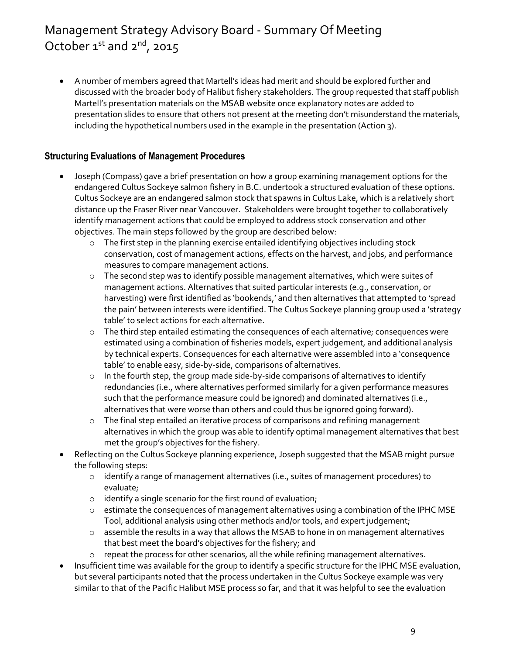A number of members agreed that Martell's ideas had merit and should be explored further and discussed with the broader body of Halibut fishery stakeholders. The group requested that staff publish Martell's presentation materials on the MSAB website once explanatory notes are added to presentation slides to ensure that others not present at the meeting don't misunderstand the materials, including the hypothetical numbers used in the example in the presentation (Action 3).

## **Structuring Evaluations of Management Procedures**

- Joseph (Compass) gave a brief presentation on how a group examining management options for the endangered Cultus Sockeye salmon fishery in B.C. undertook a structured evaluation of these options. Cultus Sockeye are an endangered salmon stock that spawns in Cultus Lake, which is a relatively short distance up the Fraser River near Vancouver. Stakeholders were brought together to collaboratively identify management actions that could be employed to address stock conservation and other objectives. The main steps followed by the group are described below:
	- $\circ$  The first step in the planning exercise entailed identifying objectives including stock conservation, cost of management actions, effects on the harvest, and jobs, and performance measures to compare management actions.
	- $\circ$  The second step was to identify possible management alternatives, which were suites of management actions. Alternatives that suited particular interests (e.g., conservation, or harvesting) were first identified as 'bookends,' and then alternatives that attempted to 'spread the pain' between interests were identified. The Cultus Sockeye planning group used a 'strategy table' to select actions for each alternative.
	- $\circ$  The third step entailed estimating the consequences of each alternative; consequences were estimated using a combination of fisheries models, expert judgement, and additional analysis by technical experts. Consequences for each alternative were assembled into a 'consequence table' to enable easy, side-by-side, comparisons of alternatives.
	- $\circ$  In the fourth step, the group made side-by-side comparisons of alternatives to identify redundancies (i.e., where alternatives performed similarly for a given performance measures such that the performance measure could be ignored) and dominated alternatives (i.e., alternatives that were worse than others and could thus be ignored going forward).
	- o The final step entailed an iterative process of comparisons and refining management alternatives in which the group was able to identify optimal management alternatives that best met the group's objectives for the fishery.
- Reflecting on the Cultus Sockeye planning experience, Joseph suggested that the MSAB might pursue the following steps:
	- o identify a range of management alternatives (i.e., suites of management procedures) to evaluate;
	- o identify a single scenario for the first round of evaluation;
	- o estimate the consequences of management alternatives using a combination of the IPHC MSE Tool, additional analysis using other methods and/or tools, and expert judgement;
	- o assemble the results in a way that allows the MSAB to hone in on management alternatives that best meet the board's objectives for the fishery; and
	- o repeat the process for other scenarios, all the while refining management alternatives.
- Insufficient time was available for the group to identify a specific structure for the IPHC MSE evaluation, but several participants noted that the process undertaken in the Cultus Sockeye example was very similar to that of the Pacific Halibut MSE process so far, and that it was helpful to see the evaluation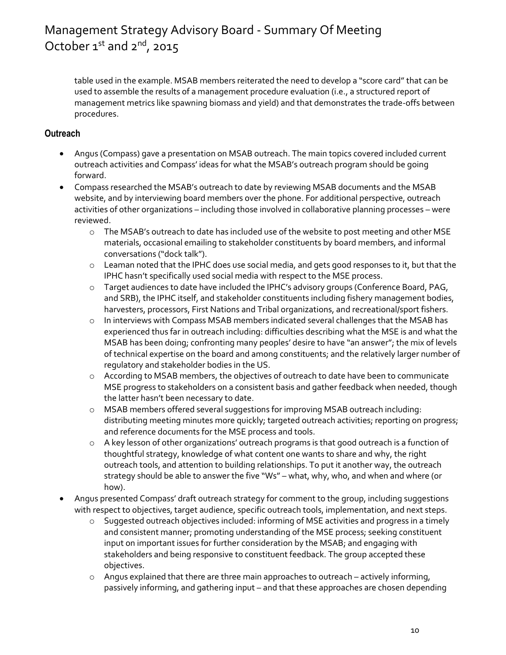table used in the example. MSAB members reiterated the need to develop a "score card" that can be used to assemble the results of a management procedure evaluation (i.e., a structured report of management metrics like spawning biomass and yield) and that demonstrates the trade-offs between procedures.

#### **Outreach**

- Angus (Compass) gave a presentation on MSAB outreach. The main topics covered included current outreach activities and Compass' ideas for what the MSAB's outreach program should be going forward.
- Compass researched the MSAB's outreach to date by reviewing MSAB documents and the MSAB website, and by interviewing board members over the phone. For additional perspective, outreach activities of other organizations – including those involved in collaborative planning processes – were reviewed.
	- o The MSAB's outreach to date has included use of the website to post meeting and other MSE materials, occasional emailing to stakeholder constituents by board members, and informal conversations ("dock talk").
	- o Leaman noted that the IPHC does use social media, and gets good responses to it, but that the IPHC hasn't specifically used social media with respect to the MSE process.
	- o Target audiences to date have included the IPHC's advisory groups (Conference Board, PAG, and SRB), the IPHC itself, and stakeholder constituents including fishery management bodies, harvesters, processors, First Nations and Tribal organizations, and recreational/sport fishers.
	- $\circ$  In interviews with Compass MSAB members indicated several challenges that the MSAB has experienced thus far in outreach including: difficulties describing what the MSE is and what the MSAB has been doing; confronting many peoples' desire to have "an answer"; the mix of levels of technical expertise on the board and among constituents; and the relatively larger number of regulatory and stakeholder bodies in the US.
	- o According to MSAB members, the objectives of outreach to date have been to communicate MSE progress to stakeholders on a consistent basis and gather feedback when needed, though the latter hasn't been necessary to date.
	- o MSAB members offered several suggestions for improving MSAB outreach including: distributing meeting minutes more quickly; targeted outreach activities; reporting on progress; and reference documents for the MSE process and tools.
	- $\circ$  A key lesson of other organizations' outreach programs is that good outreach is a function of thoughtful strategy, knowledge of what content one wants to share and why, the right outreach tools, and attention to building relationships. To put it another way, the outreach strategy should be able to answer the five "Ws" – what, why, who, and when and where (or how).
- Angus presented Compass' draft outreach strategy for comment to the group, including suggestions with respect to objectives, target audience, specific outreach tools, implementation, and next steps.
	- $\circ$  Suggested outreach objectives included: informing of MSE activities and progress in a timely and consistent manner; promoting understanding of the MSE process; seeking constituent input on important issues for further consideration by the MSAB; and engaging with stakeholders and being responsive to constituent feedback. The group accepted these objectives.
	- o Angus explained that there are three main approaches to outreach actively informing, passively informing, and gathering input – and that these approaches are chosen depending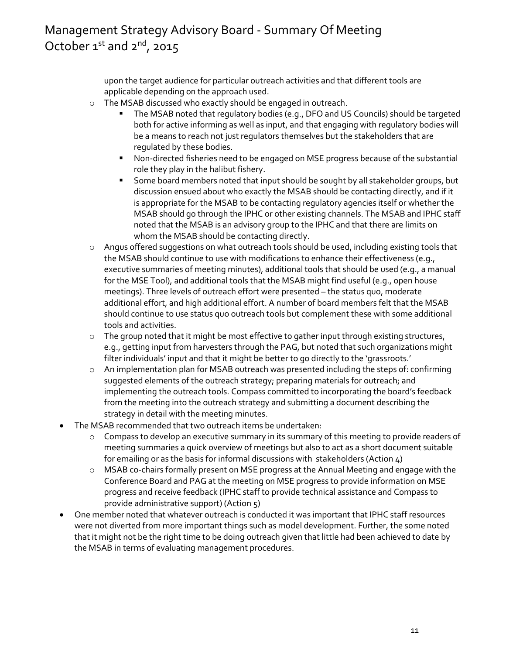upon the target audience for particular outreach activities and that different tools are applicable depending on the approach used.

- o The MSAB discussed who exactly should be engaged in outreach.
	- The MSAB noted that regulatory bodies (e.g., DFO and US Councils) should be targeted both for active informing as well as input, and that engaging with regulatory bodies will be a means to reach not just regulators themselves but the stakeholders that are regulated by these bodies.
	- Non-directed fisheries need to be engaged on MSE progress because of the substantial role they play in the halibut fishery.
	- Some board members noted that input should be sought by all stakeholder groups, but discussion ensued about who exactly the MSAB should be contacting directly, and if it is appropriate for the MSAB to be contacting regulatory agencies itself or whether the MSAB should go through the IPHC or other existing channels. The MSAB and IPHC staff noted that the MSAB is an advisory group to the IPHC and that there are limits on whom the MSAB should be contacting directly.
- o Angus offered suggestions on what outreach tools should be used, including existing tools that the MSAB should continue to use with modifications to enhance their effectiveness (e.g., executive summaries of meeting minutes), additional tools that should be used (e.g., a manual for the MSE Tool), and additional tools that the MSAB might find useful (e.g., open house meetings). Three levels of outreach effort were presented – the status quo, moderate additional effort, and high additional effort. A number of board members felt that the MSAB should continue to use status quo outreach tools but complement these with some additional tools and activities.
- $\circ$  The group noted that it might be most effective to gather input through existing structures, e.g., getting input from harvesters through the PAG, but noted that such organizations might filter individuals' input and that it might be better to go directly to the 'grassroots.'
- o An implementation plan for MSAB outreach was presented including the steps of: confirming suggested elements of the outreach strategy; preparing materials for outreach; and implementing the outreach tools. Compass committed to incorporating the board's feedback from the meeting into the outreach strategy and submitting a document describing the strategy in detail with the meeting minutes.
- The MSAB recommended that two outreach items be undertaken:
	- o Compass to develop an executive summary in its summary of this meeting to provide readers of meeting summaries a quick overview of meetings but also to act as a short document suitable for emailing or as the basis for informal discussions with stakeholders (Action 4)
	- o MSAB co-chairs formally present on MSE progress at the Annual Meeting and engage with the Conference Board and PAG at the meeting on MSE progress to provide information on MSE progress and receive feedback (IPHC staff to provide technical assistance and Compass to provide administrative support) (Action 5)
- One member noted that whatever outreach is conducted it was important that IPHC staff resources were not diverted from more important things such as model development. Further, the some noted that it might not be the right time to be doing outreach given that little had been achieved to date by the MSAB in terms of evaluating management procedures.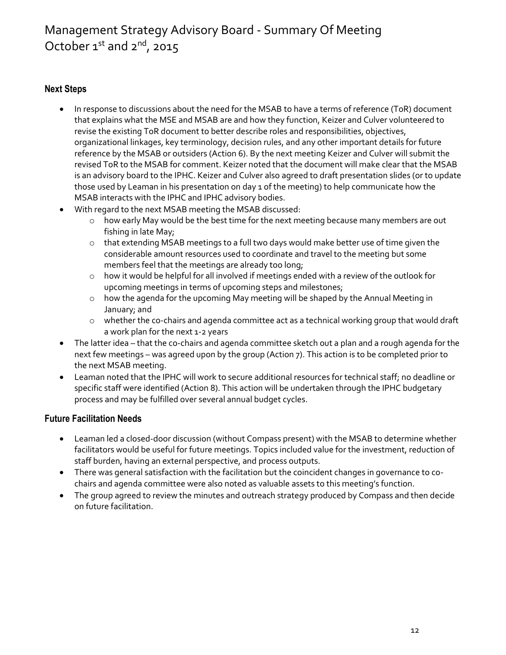#### **Next Steps**

- In response to discussions about the need for the MSAB to have a terms of reference (ToR) document that explains what the MSE and MSAB are and how they function, Keizer and Culver volunteered to revise the existing ToR document to better describe roles and responsibilities, objectives, organizational linkages, key terminology, decision rules, and any other important details for future reference by the MSAB or outsiders (Action 6). By the next meeting Keizer and Culver will submit the revised ToR to the MSAB for comment. Keizer noted that the document will make clear that the MSAB is an advisory board to the IPHC. Keizer and Culver also agreed to draft presentation slides (or to update those used by Leaman in his presentation on day 1 of the meeting) to help communicate how the MSAB interacts with the IPHC and IPHC advisory bodies.
- With regard to the next MSAB meeting the MSAB discussed:
	- o how early May would be the best time for the next meeting because many members are out fishing in late May;
	- o that extending MSAB meetings to a full two days would make better use of time given the considerable amount resources used to coordinate and travel to the meeting but some members feel that the meetings are already too long;
	- o how it would be helpful for all involved if meetings ended with a review of the outlook for upcoming meetings in terms of upcoming steps and milestones;
	- o how the agenda for the upcoming May meeting will be shaped by the Annual Meeting in January; and
	- $\circ$  whether the co-chairs and agenda committee act as a technical working group that would draft a work plan for the next 1-2 years
- The latter idea that the co-chairs and agenda committee sketch out a plan and a rough agenda for the next few meetings – was agreed upon by the group (Action 7). This action is to be completed prior to the next MSAB meeting.
- Leaman noted that the IPHC will work to secure additional resources for technical staff; no deadline or specific staff were identified (Action 8). This action will be undertaken through the IPHC budgetary process and may be fulfilled over several annual budget cycles.

#### **Future Facilitation Needs**

- Leaman led a closed-door discussion (without Compass present) with the MSAB to determine whether facilitators would be useful for future meetings. Topics included value for the investment, reduction of staff burden, having an external perspective, and process outputs.
- There was general satisfaction with the facilitation but the coincident changes in governance to cochairs and agenda committee were also noted as valuable assets to this meeting's function.
- The group agreed to review the minutes and outreach strategy produced by Compass and then decide on future facilitation.